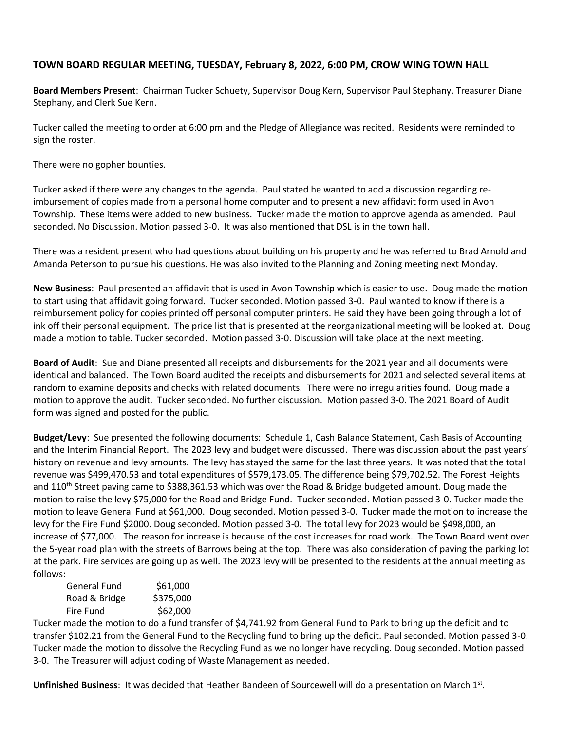## **TOWN BOARD REGULAR MEETING, TUESDAY, February 8, 2022, 6:00 PM, CROW WING TOWN HALL**

**Board Members Present**: Chairman Tucker Schuety, Supervisor Doug Kern, Supervisor Paul Stephany, Treasurer Diane Stephany, and Clerk Sue Kern.

Tucker called the meeting to order at 6:00 pm and the Pledge of Allegiance was recited. Residents were reminded to sign the roster.

There were no gopher bounties.

Tucker asked if there were any changes to the agenda. Paul stated he wanted to add a discussion regarding reimbursement of copies made from a personal home computer and to present a new affidavit form used in Avon Township. These items were added to new business. Tucker made the motion to approve agenda as amended. Paul seconded. No Discussion. Motion passed 3-0. It was also mentioned that DSL is in the town hall.

There was a resident present who had questions about building on his property and he was referred to Brad Arnold and Amanda Peterson to pursue his questions. He was also invited to the Planning and Zoning meeting next Monday.

**New Business**: Paul presented an affidavit that is used in Avon Township which is easier to use. Doug made the motion to start using that affidavit going forward. Tucker seconded. Motion passed 3-0. Paul wanted to know if there is a reimbursement policy for copies printed off personal computer printers. He said they have been going through a lot of ink off their personal equipment. The price list that is presented at the reorganizational meeting will be looked at. Doug made a motion to table. Tucker seconded. Motion passed 3-0. Discussion will take place at the next meeting.

**Board of Audit**: Sue and Diane presented all receipts and disbursements for the 2021 year and all documents were identical and balanced. The Town Board audited the receipts and disbursements for 2021 and selected several items at random to examine deposits and checks with related documents. There were no irregularities found. Doug made a motion to approve the audit. Tucker seconded. No further discussion. Motion passed 3-0. The 2021 Board of Audit form was signed and posted for the public.

**Budget/Levy**: Sue presented the following documents: Schedule 1, Cash Balance Statement, Cash Basis of Accounting and the Interim Financial Report. The 2023 levy and budget were discussed. There was discussion about the past years' history on revenue and levy amounts. The levy has stayed the same for the last three years. It was noted that the total revenue was \$499,470.53 and total expenditures of \$579,173.05. The difference being \$79,702.52. The Forest Heights and 110<sup>th</sup> Street paving came to \$388,361.53 which was over the Road & Bridge budgeted amount. Doug made the motion to raise the levy \$75,000 for the Road and Bridge Fund. Tucker seconded. Motion passed 3-0. Tucker made the motion to leave General Fund at \$61,000. Doug seconded. Motion passed 3-0. Tucker made the motion to increase the levy for the Fire Fund \$2000. Doug seconded. Motion passed 3-0. The total levy for 2023 would be \$498,000, an increase of \$77,000. The reason for increase is because of the cost increases for road work. The Town Board went over the 5-year road plan with the streets of Barrows being at the top. There was also consideration of paving the parking lot at the park. Fire services are going up as well. The 2023 levy will be presented to the residents at the annual meeting as follows:

| General Fund  | \$61,000  |
|---------------|-----------|
| Road & Bridge | \$375,000 |
| Fire Fund     | \$62,000  |

Tucker made the motion to do a fund transfer of \$4,741.92 from General Fund to Park to bring up the deficit and to transfer \$102.21 from the General Fund to the Recycling fund to bring up the deficit. Paul seconded. Motion passed 3-0. Tucker made the motion to dissolve the Recycling Fund as we no longer have recycling. Doug seconded. Motion passed 3-0. The Treasurer will adjust coding of Waste Management as needed.

Unfinished Business: It was decided that Heather Bandeen of Sourcewell will do a presentation on March 1st.